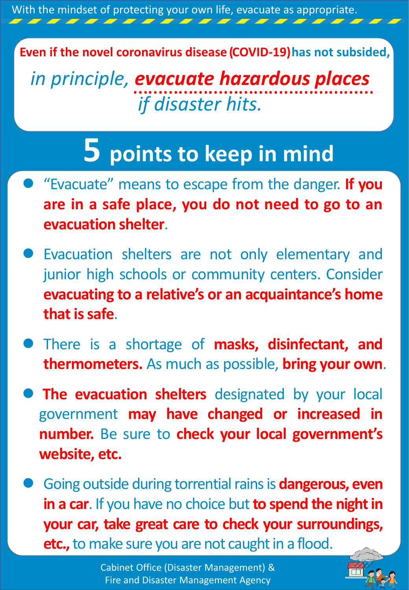With the mindset of protecting your own life, evacuate as appropriate.

**Even if the novel coronavirus disease (COVID-19)has not subsided,**

*in principle, evacuate hazardous places if disaster hits.* …………………………………………

## **5 points to keep in mind**

- "Evacuate" means to escape from the danger. **If you are in a safe place, you do not need to go to an evacuation shelter**.
- Evacuation shelters are not only elementary and junior high schools or community centers. Consider **evacuating to a relative's or an acquaintance's home that issafe**.
- There is a shortage of **masks, disinfectant, and thermometers.** As much as possible, **bring your own**.
- **The evacuation shelters** designated by your local government **may have changed or increased in number.** Be sure to **check your local government's website, etc.**
- Going outside during torrential rains is **dangerous, even in** a car. If you have no choice but to spend the night in **your car, take great care to check your surroundings, etc.,** to make sure you are not caught in a flood.